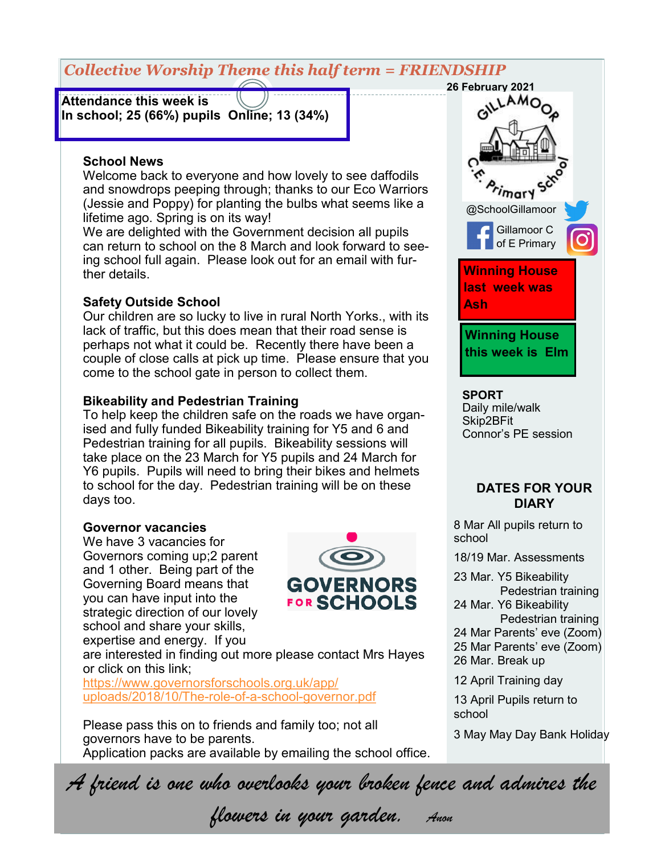# *Collective Worship Theme this half term = FRIENDSHIP*

**Attendance this week is In school; 25 (66%) pupils Online; 13 (34%)** 

### **School News**

Welcome back to everyone and how lovely to see daffodils and snowdrops peeping through; thanks to our Eco Warriors (Jessie and Poppy) for planting the bulbs what seems like a lifetime ago. Spring is on its way!

We are delighted with the Government decision all pupils can return to school on the 8 March and look forward to seeing school full again. Please look out for an email with further details.

### **Safety Outside School**

Our children are so lucky to live in rural North Yorks., with its lack of traffic, but this does mean that their road sense is perhaps not what it could be. Recently there have been a couple of close calls at pick up time. Please ensure that you come to the school gate in person to collect them.

### **Bikeability and Pedestrian Training**

To help keep the children safe on the roads we have organised and fully funded Bikeability training for Y5 and 6 and Pedestrian training for all pupils. Bikeability sessions will take place on the 23 March for Y5 pupils and 24 March for Y6 pupils. Pupils will need to bring their bikes and helmets to school for the day. Pedestrian training will be on these days too.

### **Governor vacancies**

We have 3 vacancies for Governors coming up;2 parent and 1 other. Being part of the Governing Board means that you can have input into the strategic direction of our lovely school and share your skills, expertise and energy. If you



are interested in finding out more please contact Mrs Hayes or click on this link;

[https://www.governorsforschools.org.uk/app/](https://www.governorsforschools.org.uk/app/uploads/2018/10/The-role-of-a-school-governor.pdf) [uploads/2018/10/The](https://www.governorsforschools.org.uk/app/uploads/2018/10/The-role-of-a-school-governor.pdf)-role-of-a-school-governor.pdf

Please pass this on to friends and family too; not all governors have to be parents. Application packs are available by emailing the school office.



### **SPORT**

Daily mile/walk Skip2BFit Connor's PE session

### **DATES FOR YOUR DIARY**

8 Mar All pupils return to school

18/19 Mar. Assessments

- 23 Mar. Y5 Bikeability
- Pedestrian training 24 Mar. Y6 Bikeability
- Pedestrian training
- 24 Mar Parents' eve (Zoom)
- 25 Mar Parents' eve (Zoom)
- 26 Mar. Break up
- 12 April Training day

13 April Pupils return to school

3 May May Day Bank Holiday

*A friend is one who overlooks your broken fence and admires the* 

*flowers in your garden. Anon*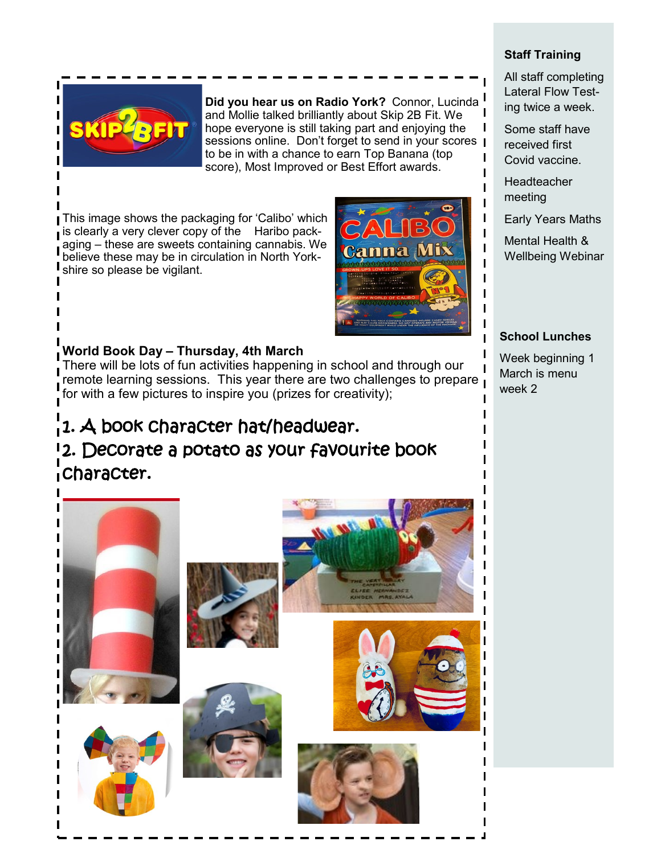

**Did you hear us on Radio York?** Connor, Lucinda and Mollie talked brilliantly about Skip 2B Fit. We hope everyone is still taking part and enjoying the sessions online. Don't forget to send in your scores | to be in with a chance to earn Top Banana (top score), Most Improved or Best Effort awards.

**This image shows the packaging for 'Calibo' which** is clearly a very clever copy of the Haribo packaging – these are sweets containing cannabis. We believe these may be in circulation in North Yorkshire so please be vigilant.



## **World Book Day – Thursday, 4th March**

There will be lots of fun activities happening in school and through our remote learning sessions. This year there are two challenges to prepare for with a few pictures to inspire you (prizes for creativity);

# 1. A book character hat/headwear. 2. Decorate a potato as your favourite book character.



### **Staff Training**

All staff completing Lateral Flow Testing twice a week.

Some staff have received first Covid vaccine.

**Headteacher** meeting

 $\mathbf{I}$ 

 $\mathbf{I}$ ı I

Early Years Maths

Mental Health & Wellbeing Webinar

### **School Lunches**

Week beginning 1 March is menu week 2